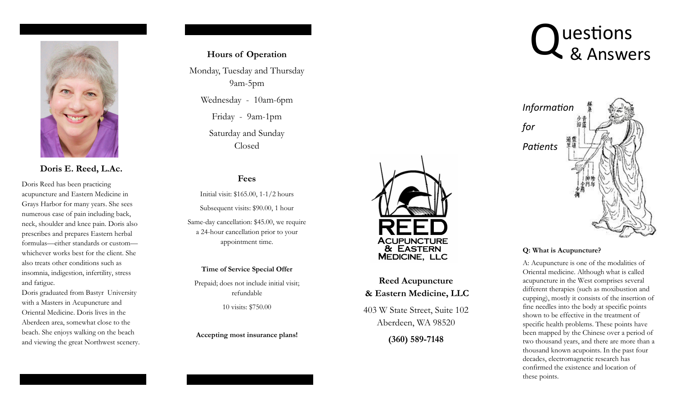

**Doris E. Reed, L.Ac.** 

Doris Reed has been practicing acupuncture and Eastern Medicine in Grays Harbor for many years. She sees numerous case of pain including back, neck, shoulder and knee pain. Doris also prescribes and prepares Eastern herbal formulas—either standards or custom whichever works best for the client. She also treats other conditions such as insomnia, indigestion, infertility, stress and fatigue.

Doris graduated from Bastyr University with a Masters in Acupuncture and Oriental Medicine. Doris lives in the Aberdeen area, somewhat close to the beach. She enjoys walking on the beach and viewing the great Northwest scenery.

## **Hours of Operation**

Monday, Tuesday and Thursday 9am-5pm Wednesday - 10am-6pm

> Friday - 9am-1pm Saturday and Sunday Closed

# **Fees**

Initial visit: \$165.00, 1-1/2 hours Subsequent visits: \$90.00, 1 hour

Same-day cancellation: \$45.00, we require a 24-hour cancellation prior to your appointment time.

#### **Time of Service Special Offer**

Prepaid; does not include initial visit; refundable

10 visits: \$750.00

**Accepting most insurance plans!** 



# **Reed Acupuncture & Eastern Medicine, LLC**

403 W State Street, Suite 102 Aberdeen, WA 98520

**(360) 589-7148** 





#### **Q: What is Acupuncture?**

A: Acupuncture is one of the modalities of Oriental medicine. Although what is called acupuncture in the West comprises several different therapies (such as moxibustion and cupping), mostly it consists of the insertion of fine needles into the body at specific points shown to be effective in the treatment of specific health problems. These points have been mapped by the Chinese over a period of two thousand years, and there are more than a thousand known acupoints. In the past four decades, electromagnetic research has confirmed the existence and location of these points.